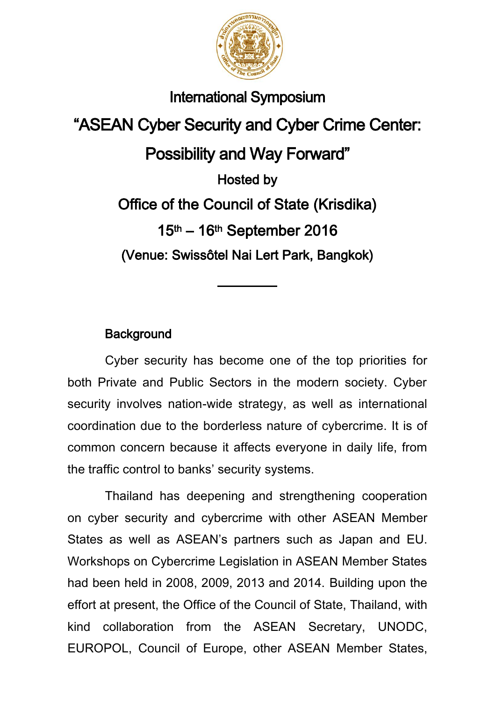

## International Symposium

"ASEAN Cyber Security and Cyber Crime Center: Possibility and Way Forward" Hosted by Office of the Council of State (Krisdika) 15th – 16th September 2016 (Venue: Swissôtel Nai Lert Park, Bangkok)

## **Background**

Cyber security has become one of the top priorities for both Private and Public Sectors in the modern society. Cyber security involves nation-wide strategy, as well as international coordination due to the borderless nature of cybercrime. It is of common concern because it affects everyone in daily life, from the traffic control to banks' security systems.

Thailand has deepening and strengthening cooperation on cyber security and cybercrime with other ASEAN Member States as well as ASEAN's partners such as Japan and EU. Workshops on Cybercrime Legislation in ASEAN Member States had been held in 2008, 2009, 2013 and 2014. Building upon the effort at present, the Office of the Council of State, Thailand, with kind collaboration from the ASEAN Secretary, UNODC, EUROPOL, Council of Europe, other ASEAN Member States,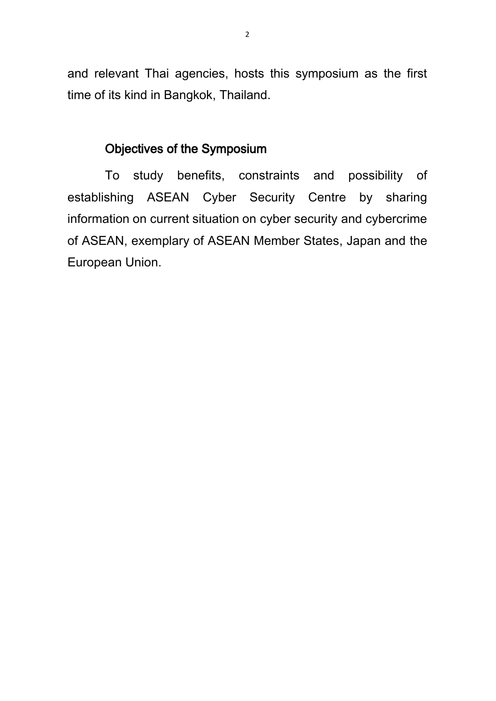and relevant Thai agencies, hosts this symposium as the first time of its kind in Bangkok, Thailand.

## Objectives of the Symposium

To study benefits, constraints and possibility of establishing ASEAN Cyber Security Centre by sharing information on current situation on cyber security and cybercrime of ASEAN, exemplary of ASEAN Member States, Japan and the European Union.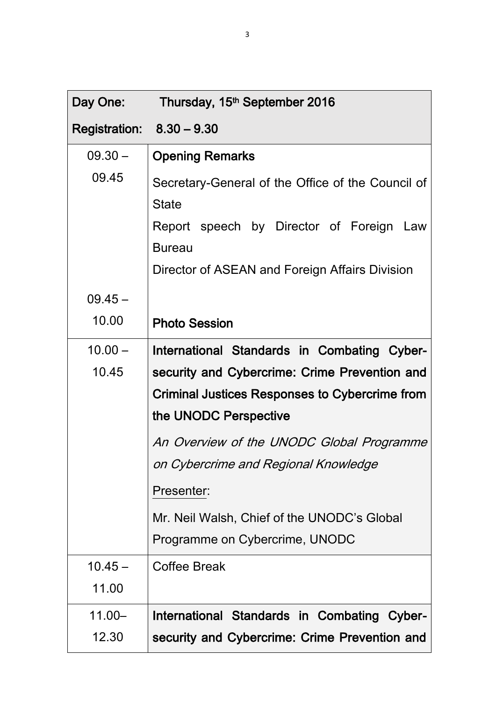| Day One:                    | Thursday, 15 <sup>th</sup> September 2016         |
|-----------------------------|---------------------------------------------------|
| Registration: $8.30 - 9.30$ |                                                   |
| $09.30 -$                   | <b>Opening Remarks</b>                            |
| 09.45                       | Secretary-General of the Office of the Council of |
|                             | <b>State</b>                                      |
|                             | Report speech by Director of Foreign Law          |
|                             | <b>Bureau</b>                                     |
|                             | Director of ASEAN and Foreign Affairs Division    |
| $09.45 -$                   |                                                   |
| 10.00                       | <b>Photo Session</b>                              |
| $10.00 -$                   | International Standards in Combating Cyber-       |
| 10.45                       | security and Cybercrime: Crime Prevention and     |
|                             | Criminal Justices Responses to Cybercrime from    |
|                             | the UNODC Perspective                             |
|                             | An Overview of the UNODC Global Programme         |
|                             | on Cybercrime and Regional Knowledge              |
|                             | Presenter:                                        |
|                             | Mr. Neil Walsh, Chief of the UNODC's Global       |
|                             | Programme on Cybercrime, UNODC                    |
| $10.45 -$                   | <b>Coffee Break</b>                               |
| 11.00                       |                                                   |
| $11.00 -$                   | International Standards in Combating Cyber-       |
| 12.30                       | security and Cybercrime: Crime Prevention and     |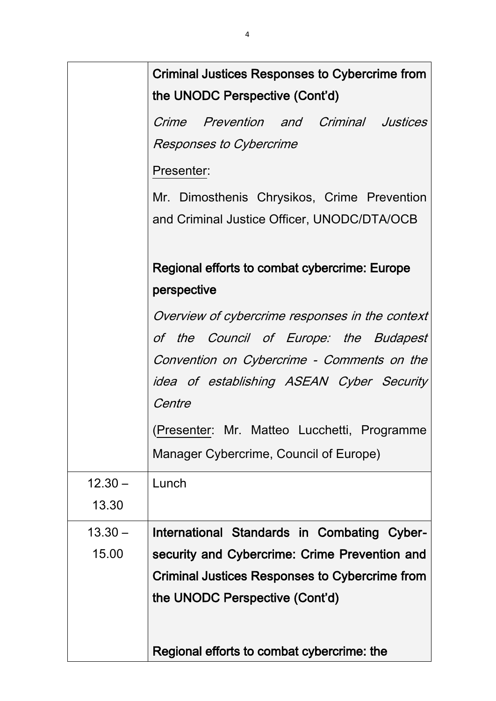|           | <b>Criminal Justices Responses to Cybercrime from</b><br>the UNODC Perspective (Cont'd)    |
|-----------|--------------------------------------------------------------------------------------------|
|           | Crime Prevention and Criminal Justices<br><b>Responses to Cybercrime</b>                   |
|           | Presenter:                                                                                 |
|           | Mr. Dimosthenis Chrysikos, Crime Prevention<br>and Criminal Justice Officer, UNODC/DTA/OCB |
|           | Regional efforts to combat cybercrime: Europe<br>perspective                               |
|           | Overview of cybercrime responses in the context                                            |
|           | of the Council of Europe: the Budapest                                                     |
|           | Convention on Cybercrime - Comments on the                                                 |
|           | idea of establishing ASEAN Cyber Security<br>Centre                                        |
|           | (Presenter: Mr. Matteo Lucchetti, Programme                                                |
|           | Manager Cybercrime, Council of Europe)                                                     |
| $12.30 -$ | Lunch                                                                                      |
| 13.30     |                                                                                            |
| $13.30 -$ | International Standards in Combating Cyber-                                                |
| 15.00     | security and Cybercrime: Crime Prevention and                                              |
|           | Criminal Justices Responses to Cybercrime from                                             |
|           | the UNODC Perspective (Cont'd)                                                             |
|           | Regional efforts to combat cybercrime: the                                                 |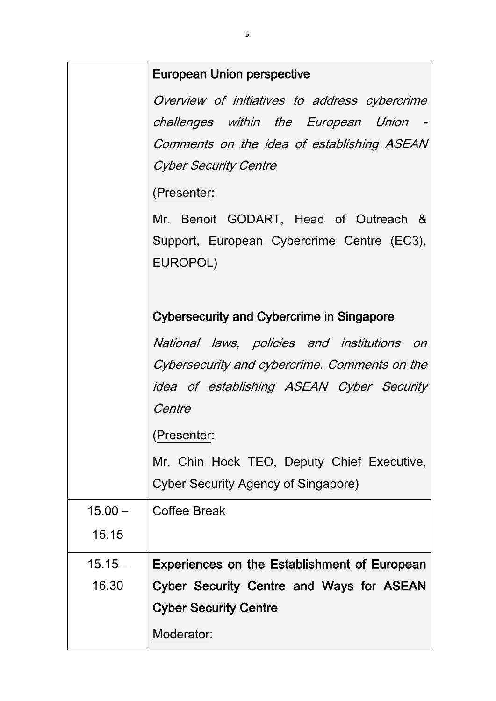|           | European Union perspective                       |
|-----------|--------------------------------------------------|
|           | Overview of initiatives to address cybercrime    |
|           | challenges within the European Union             |
|           | Comments on the idea of establishing ASEAN       |
|           | <b>Cyber Security Centre</b>                     |
|           | (Presenter:                                      |
|           | Mr. Benoit GODART, Head of Outreach &            |
|           | Support, European Cybercrime Centre (EC3),       |
|           | EUROPOL)                                         |
|           |                                                  |
|           | <b>Cybersecurity and Cybercrime in Singapore</b> |
|           | National laws, policies and institutions on      |
|           | Cybersecurity and cybercrime. Comments on the    |
|           | idea of establishing ASEAN Cyber Security        |
|           | Centre                                           |
|           | (Presenter:                                      |
|           | Mr. Chin Hock TEO, Deputy Chief Executive,       |
|           | Cyber Security Agency of Singapore)              |
| $15.00 -$ | Coffee Break                                     |
| 15.15     |                                                  |
| $15.15 -$ | Experiences on the Establishment of European     |
| 16.30     | Cyber Security Centre and Ways for ASEAN         |
|           | <b>Cyber Security Centre</b>                     |
|           | Moderator:                                       |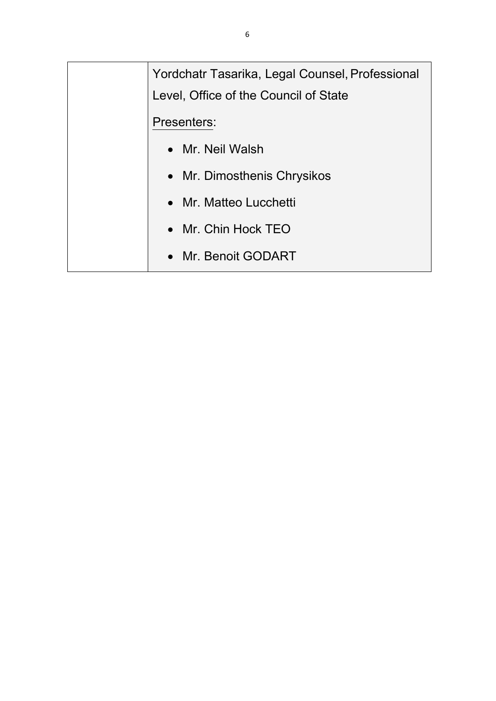Yordchatr Tasarika, Legal Counsel, Professional Level, Office of the Council of State Presenters: • Mr. Neil Walsh • Mr. Dimosthenis Chrysikos • Mr. Matteo Lucchetti • Mr. Chin Hock TEO • Mr. Benoit GODART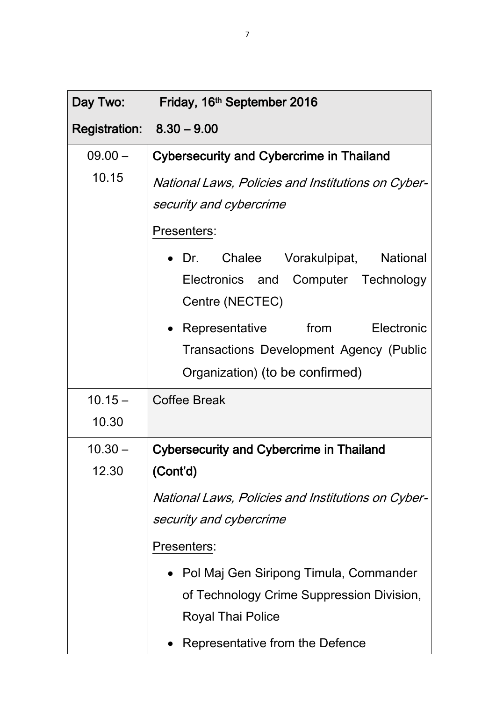| Day Two:                    | Friday, 16 <sup>th</sup> September 2016                |
|-----------------------------|--------------------------------------------------------|
| Registration: $8.30 - 9.00$ |                                                        |
| $09.00 -$                   | Cybersecurity and Cybercrime in Thailand               |
| 10.15                       | National Laws, Policies and Institutions on Cyber-     |
|                             | security and cybercrime                                |
|                             | Presenters:                                            |
|                             | • Dr. Chalee Vorakulpipat, National                    |
|                             | Electronics and Computer Technology<br>Centre (NECTEC) |
|                             | • Representative from Electronic                       |
|                             | <b>Transactions Development Agency (Public</b>         |
|                             | Organization) (to be confirmed)                        |
| $10.15 -$                   | <b>Coffee Break</b>                                    |
| 10.30                       |                                                        |
| $10.30 -$                   | <b>Cybersecurity and Cybercrime in Thailand</b>        |
| 12.30                       | (Cont'd)                                               |
|                             | National Laws, Policies and Institutions on Cyber-     |
|                             | security and cybercrime                                |
|                             | Presenters:                                            |
|                             | Pol Maj Gen Siripong Timula, Commander                 |
|                             | of Technology Crime Suppression Division,              |
|                             | <b>Royal Thai Police</b>                               |
|                             | Representative from the Defence                        |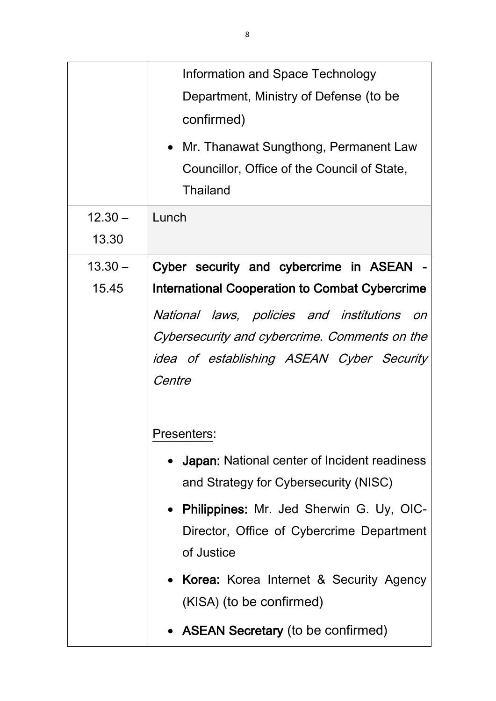|           | Information and Space Technology                      |
|-----------|-------------------------------------------------------|
|           | Department, Ministry of Defense (to be                |
|           | confirmed)                                            |
|           | • Mr. Thanawat Sungthong, Permanent Law               |
|           | Councillor, Office of the Council of State,           |
|           | <b>Thailand</b>                                       |
| $12.30 -$ | Lunch                                                 |
| 13.30     |                                                       |
| $13.30 -$ | Cyber security and cybercrime in ASEAN -              |
| 15.45     | <b>International Cooperation to Combat Cybercrime</b> |
|           | National laws, policies and institutions<br>on        |
|           | Cybersecurity and cybercrime. Comments on the         |
|           | idea of establishing ASEAN Cyber Security             |
|           | Centre                                                |
|           |                                                       |
|           | Presenters:                                           |
|           | • Japan: National center of Incident readiness        |
|           | and Strategy for Cybersecurity (NISC)                 |
|           | • Philippines: Mr. Jed Sherwin G. Uy, OIC-            |
|           | Director, Office of Cybercrime Department             |
|           | of Justice                                            |
|           | • Korea: Korea Internet & Security Agency             |
|           | (KISA) (to be confirmed)                              |
|           | • ASEAN Secretary (to be confirmed)                   |
|           |                                                       |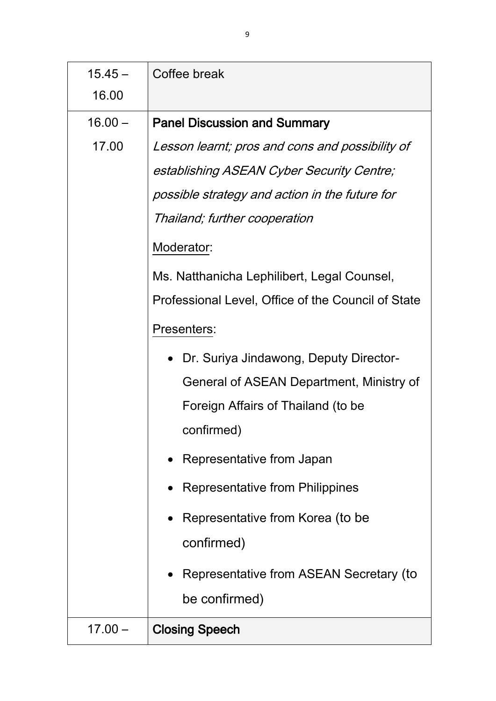| $15.45 -$ | Coffee break                                        |
|-----------|-----------------------------------------------------|
| 16.00     |                                                     |
| $16.00 -$ | <b>Panel Discussion and Summary</b>                 |
| 17.00     | Lesson learnt; pros and cons and possibility of     |
|           | establishing ASEAN Cyber Security Centre;           |
|           | possible strategy and action in the future for      |
|           | Thailand; further cooperation                       |
|           | Moderator:                                          |
|           | Ms. Natthanicha Lephilibert, Legal Counsel,         |
|           | Professional Level, Office of the Council of State  |
|           | Presenters:                                         |
|           | Dr. Suriya Jindawong, Deputy Director-<br>$\bullet$ |
|           | General of ASEAN Department, Ministry of            |
|           | Foreign Affairs of Thailand (to be                  |
|           | confirmed)                                          |
|           | Representative from Japan                           |
|           | Representative from Philippines                     |
|           | $\bullet~$ Representative from Korea (to be         |
|           | confirmed)                                          |
|           | Representative from ASEAN Secretary (to             |
|           | be confirmed)                                       |
| $17.00 -$ | <b>Closing Speech</b>                               |